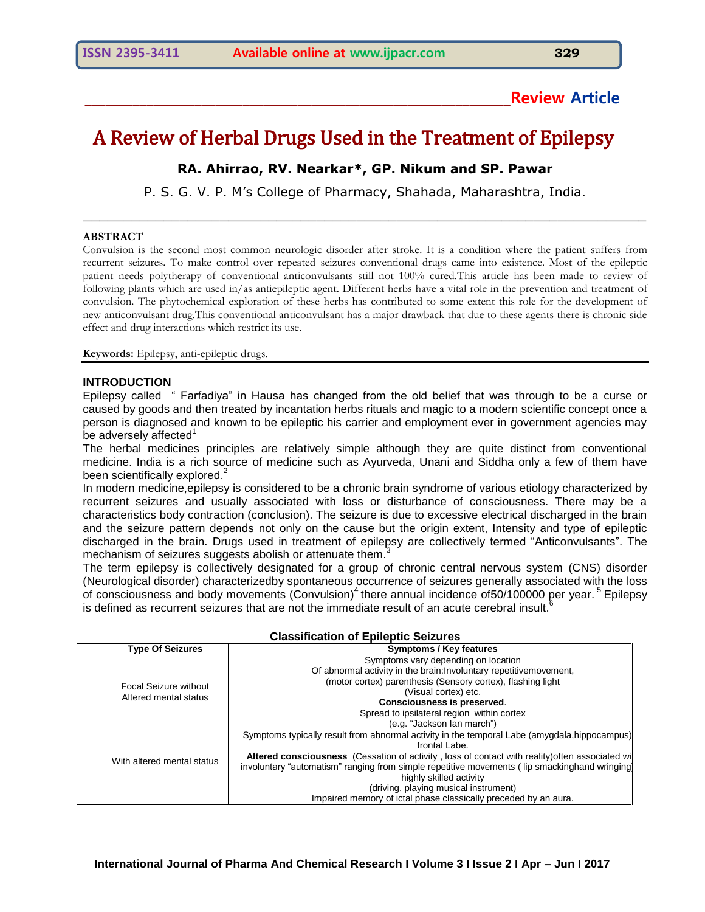# **\_\_\_\_\_\_\_\_\_\_\_\_\_\_\_\_\_\_\_\_\_\_\_\_\_\_\_\_\_\_\_\_\_\_\_\_\_\_\_\_\_\_\_\_\_\_\_\_\_\_\_\_\_\_\_\_\_\_\_\_\_\_Review Article**

# A Review of Herbal Drugs Used in the Treatment of Epilepsy

# **RA. Ahirrao, RV. Nearkar\*, GP. Nikum and SP. Pawar**

P. S. G. V. P. M's College of Pharmacy, Shahada, Maharashtra, India. \_\_\_\_\_\_\_\_\_\_\_\_\_\_\_\_\_\_\_\_\_\_\_\_\_\_\_\_\_\_\_\_\_\_\_\_\_\_\_\_\_\_\_\_\_\_\_\_\_\_\_\_\_\_\_\_\_\_\_\_\_\_\_\_\_\_\_\_\_\_

## **ABSTRACT**

Convulsion is the second most common neurologic disorder after stroke. It is a condition where the patient suffers from recurrent seizures. To make control over repeated seizures conventional drugs came into existence. Most of the epileptic patient needs polytherapy of conventional anticonvulsants still not 100% cured.This article has been made to review of following plants which are used in/as antiepileptic agent. Different herbs have a vital role in the prevention and treatment of convulsion. The phytochemical exploration of these herbs has contributed to some extent this role for the development of new anticonvulsant drug.This conventional anticonvulsant has a major drawback that due to these agents there is chronic side effect and drug interactions which restrict its use.

**Keywords:** Epilepsy, anti-epileptic drugs.

# **INTRODUCTION**

Epilepsy called " Farfadiya" in Hausa has changed from the old belief that was through to be a curse or caused by goods and then treated by incantation herbs rituals and magic to a modern scientific concept once a person is diagnosed and known to be epileptic his carrier and employment ever in government agencies may be adversely affected $1$ 

The herbal medicines principles are relatively simple although they are quite distinct from conventional medicine. India is a rich source of medicine such as Ayurveda, Unani and Siddha only a few of them have been scientifically explored.<sup>2</sup>

In modern medicine,epilepsy is considered to be a chronic brain syndrome of various etiology characterized by recurrent seizures and usually associated with loss or disturbance of consciousness. There may be a characteristics body contraction (conclusion). The seizure is due to excessive electrical discharged in the brain and the seizure pattern depends not only on the cause but the origin extent, Intensity and type of epileptic discharged in the brain. Drugs used in treatment of epilepsy are collectively termed "Anticonvulsants". The mechanism of seizures suggests abolish or attenuate them.<sup>3</sup>

The term epilepsy is collectively designated for a group of chronic central nervous system (CNS) disorder (Neurological disorder) characterizedby spontaneous occurrence of seizures generally associated with the loss of consciousness and body movements (Convulsion)<sup>4</sup> there annual incidence of50/100000 per year. <sup>5</sup> Epilepsy is defined as recurrent seizures that are not the immediate result of an acute cerebral insult.<sup>6</sup>

| <b>Type Of Seizures</b>      | Symptoms / Key features                                                                         |  |  |
|------------------------------|-------------------------------------------------------------------------------------------------|--|--|
|                              | Symptoms vary depending on location                                                             |  |  |
|                              | Of abnormal activity in the brain: Involuntary repetitive movement,                             |  |  |
| <b>Focal Seizure without</b> | (motor cortex) parenthesis (Sensory cortex), flashing light                                     |  |  |
| Altered mental status        | (Visual cortex) etc.                                                                            |  |  |
|                              | <b>Consciousness is preserved.</b>                                                              |  |  |
|                              | Spread to ipsilateral region within cortex                                                      |  |  |
|                              | (e.g. "Jackson lan march")                                                                      |  |  |
|                              | Symptoms typically result from abnormal activity in the temporal Labe (amygdala, hippocampus)   |  |  |
|                              | frontal Labe.                                                                                   |  |  |
| With altered mental status   | Altered consciousness (Cessation of activity, loss of contact with reality) often associated wi |  |  |
|                              | involuntary "automatism" ranging from simple repetitive movements (lip smackinghand wringing    |  |  |
|                              | highly skilled activity                                                                         |  |  |
|                              | (driving, playing musical instrument)                                                           |  |  |
|                              | Impaired memory of ictal phase classically preceded by an aura.                                 |  |  |

# **Classification of Epileptic Seizures**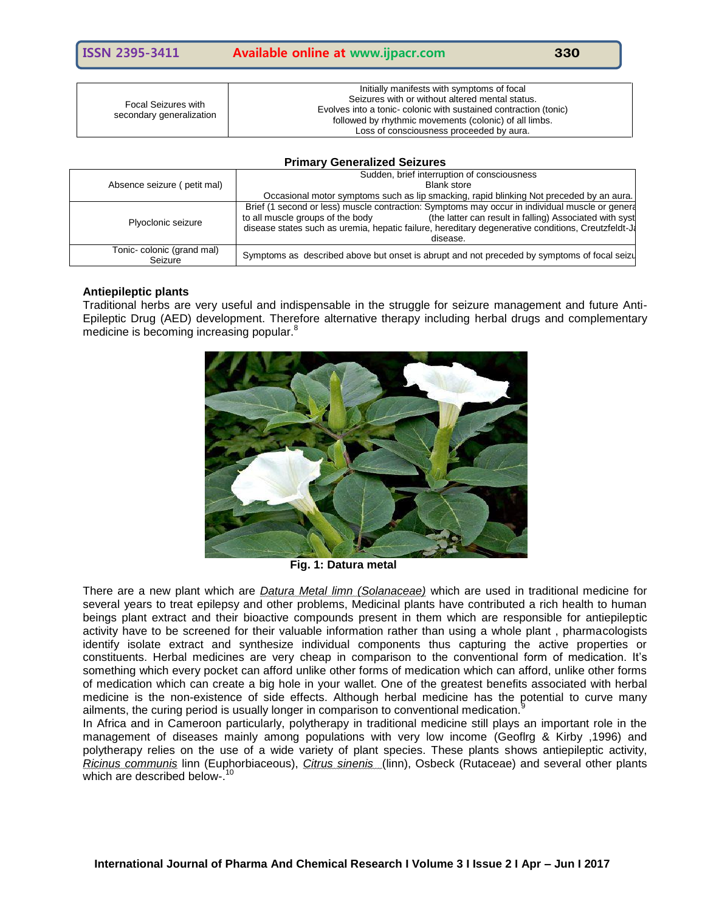| Focal Seizures with<br>secondary generalization | Initially manifests with symptoms of focal<br>Seizures with or without altered mental status.<br>Evolves into a tonic-colonic with sustained contraction (tonic)<br>followed by rhythmic movements (colonic) of all limbs.<br>Loss of consciousness proceeded by aura. |
|-------------------------------------------------|------------------------------------------------------------------------------------------------------------------------------------------------------------------------------------------------------------------------------------------------------------------------|
|-------------------------------------------------|------------------------------------------------------------------------------------------------------------------------------------------------------------------------------------------------------------------------------------------------------------------------|

#### **Primary Generalized Seizures**

|                                      | Sudden, brief interruption of consciousness                                                                                                                                                                                                                                                                      |  |  |
|--------------------------------------|------------------------------------------------------------------------------------------------------------------------------------------------------------------------------------------------------------------------------------------------------------------------------------------------------------------|--|--|
| Absence seizure (petit mal)          | <b>Blank store</b>                                                                                                                                                                                                                                                                                               |  |  |
|                                      | Occasional motor symptoms such as lip smacking, rapid blinking Not preceded by an aura.                                                                                                                                                                                                                          |  |  |
| Plyoclonic seizure                   | Brief (1 second or less) muscle contraction: Symptoms may occur in individual muscle or general<br>(the latter can result in falling) Associated with syst<br>to all muscle groups of the body<br>disease states such as uremia, hepatic failure, hereditary degenerative conditions, Creutzfeldt-Ja<br>disease. |  |  |
| Tonic-colonic (grand mal)<br>Seizure | Symptoms as described above but onset is abrupt and not preceded by symptoms of focal seizu                                                                                                                                                                                                                      |  |  |

# **Antiepileptic plants**

Traditional herbs are very useful and indispensable in the struggle for seizure management and future Anti-Epileptic Drug (AED) development. Therefore alternative therapy including herbal drugs and complementary medicine is becoming increasing popular.<sup>8</sup>



**Fig. 1: Datura metal**

There are a new plant which are *Datura Metal limn (Solanaceae)* which are used in traditional medicine for several years to treat epilepsy and other problems, Medicinal plants have contributed a rich health to human beings plant extract and their bioactive compounds present in them which are responsible for antiepileptic activity have to be screened for their valuable information rather than using a whole plant , pharmacologists identify isolate extract and synthesize individual components thus capturing the active properties or constituents. Herbal medicines are very cheap in comparison to the conventional form of medication. It"s something which every pocket can afford unlike other forms of medication which can afford, unlike other forms of medication which can create a big hole in your wallet. One of the greatest benefits associated with herbal medicine is the non-existence of side effects. Although herbal medicine has the potential to curve many ailments, the curing period is usually longer in comparison to conventional medication.<sup>9</sup>

In Africa and in Cameroon particularly, polytherapy in traditional medicine still plays an important role in the management of diseases mainly among populations with very low income (Geoflrg & Kirby ,1996) and polytherapy relies on the use of a wide variety of plant species. These plants shows antiepileptic activity, *Ricinus communis* linn (Euphorbiaceous), *Citrus sinenis* (linn), Osbeck (Rutaceae) and several other plants which are described below-.<sup>10</sup>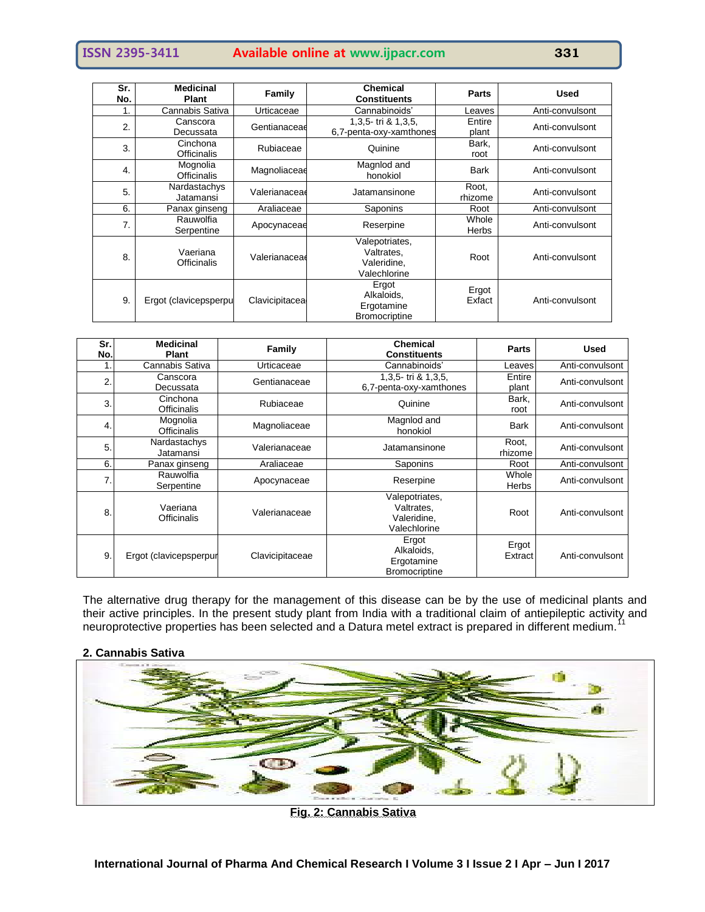# **ISSN 2395-3411 Available online at www.ijpacr.com 331**

| Sr.<br>No. | <b>Medicinal</b><br>Plant | Family         | <b>Chemical</b><br><b>Constituents</b>                      | <b>Parts</b>          | <b>Used</b>     |
|------------|---------------------------|----------------|-------------------------------------------------------------|-----------------------|-----------------|
|            | Cannabis Sativa           | Urticaceae     | Cannabinoids'                                               | Leaves                | Anti-convulsont |
| 2.         | Canscora<br>Decussata     | Gentianaceae   | 1,3,5-tri & 1,3,5,<br>6,7-penta-oxy-xamthones               | Entire<br>plant       | Anti-convulsont |
| 3.         | Cinchona<br>Officinalis   | Rubiaceae      | Quinine                                                     | Bark,<br>root         | Anti-convulsont |
| 4.         | Mognolia<br>Officinalis   | Magnoliaceae   | Magnlod and<br>honokiol                                     | Bark                  | Anti-convulsont |
| 5.         | Nardastachys<br>Jatamansi | Valerianaceae  | Jatamansinone                                               | Root,<br>rhizome      | Anti-convulsont |
| 6.         | Panax ginseng             | Araliaceae     | Saponins                                                    | Root                  | Anti-convulsont |
| 7.         | Rauwolfia<br>Serpentine   | Apocynaceae    | Reserpine                                                   | Whole<br><b>Herbs</b> | Anti-convulsont |
| 8.         | Vaeriana<br>Officinalis   | Valerianaceae  | Valepotriates,<br>Valtrates.<br>Valeridine,<br>Valechlorine | Root                  | Anti-convulsont |
| 9.         | Ergot (clavicepsperpu     | Clavicipitacea | Ergot<br>Alkaloids,<br>Ergotamine<br><b>Bromocriptine</b>   | Ergot<br>Exfact       | Anti-convulsont |

| Sr.<br>No. | <b>Medicinal</b><br><b>Plant</b> | Family          | <b>Chemical</b><br><b>Constituents</b>                      | <b>Parts</b>     | <b>Used</b>     |
|------------|----------------------------------|-----------------|-------------------------------------------------------------|------------------|-----------------|
|            | Cannabis Sativa                  | Urticaceae      | Cannabinoids'                                               | Leaves           | Anti-convulsont |
| 2.         | Canscora<br>Decussata            | Gentianaceae    | 1,3,5-tri & 1,3,5,<br>6,7-penta-oxy-xamthones               | Entire<br>plant  | Anti-convulsont |
| 3          | Cinchona<br><b>Officinalis</b>   | Rubiaceae       | Quinine                                                     | Bark,<br>root    | Anti-convulsont |
| 4.         | Mognolia<br><b>Officinalis</b>   | Magnoliaceae    | Magnlod and<br>honokiol                                     | <b>Bark</b>      | Anti-convulsont |
| 5          | Nardastachys<br>Jatamansi        | Valerianaceae   | Jatamansinone                                               | Root.<br>rhizome | Anti-convulsont |
| 6.         | Panax ginseng                    | Araliaceae      | Saponins                                                    | Root             | Anti-convulsont |
| 7.         | Rauwolfia<br>Serpentine          | Apocynaceae     | Reserpine                                                   | Whole<br>Herbs   | Anti-convulsont |
| 8          | Vaeriana<br><b>Officinalis</b>   | Valerianaceae   | Valepotriates,<br>Valtrates,<br>Valeridine.<br>Valechlorine | Root             | Anti-convulsont |
| 9          | Ergot (clavicepsperpur           | Clavicipitaceae | Ergot<br>Alkaloids,<br>Ergotamine<br><b>Bromocriptine</b>   | Ergot<br>Extract | Anti-convulsont |

The alternative drug therapy for the management of this disease can be by the use of medicinal plants and their active principles. In the present study plant from India with a traditional claim of antiepileptic activity and neuroprotective properties has been selected and a Datura metel extract is prepared in different medium.<sup>11</sup>

# **2. Cannabis Sativa**



**Fig. 2: Cannabis Sativa**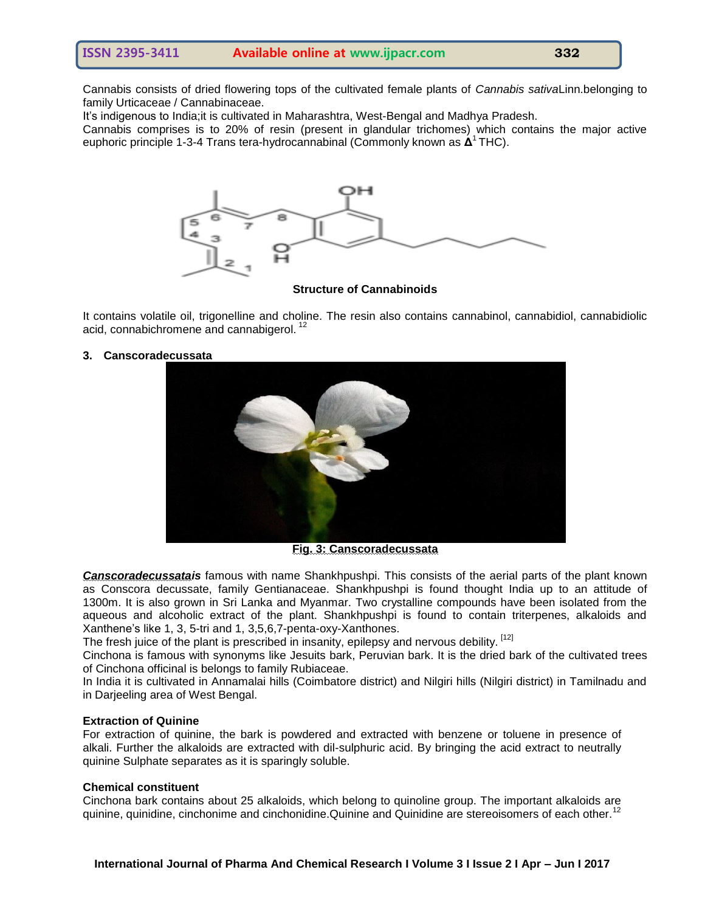Cannabis consists of dried flowering tops of the cultivated female plants of *Cannabis sativa*Linn.belonging to family Urticaceae / Cannabinaceae.

It"s indigenous to India;it is cultivated in Maharashtra, West-Bengal and Madhya Pradesh.

Cannabis comprises is to 20% of resin (present in glandular trichomes) which contains the major active euphoric principle 1-3-4 Trans tera-hydrocannabinal (Commonly known as **Δ<sup>1</sup> THC)**.



## **Structure of Cannabinoids**

It contains volatile oil, trigonelline and choline. The resin also contains cannabinol, cannabidiol, cannabidiolic acid, connabichromene and cannabigerol.<sup>12</sup>

# **3. Canscoradecussata**



**Fig. 3: Canscoradecussata**

*Canscoradecussatais* famous with name Shankhpushpi. This consists of the aerial parts of the plant known as Conscora decussate, family Gentianaceae. Shankhpushpi is found thought India up to an attitude of 1300m. It is also grown in Sri Lanka and Myanmar. Two crystalline compounds have been isolated from the aqueous and alcoholic extract of the plant. Shankhpushpi is found to contain triterpenes, alkaloids and Xanthene"s like 1, 3, 5-tri and 1, 3,5,6,7-penta-oxy-Xanthones.

The fresh juice of the plant is prescribed in insanity, epilepsy and nervous debility. [12]

Cinchona is famous with synonyms like Jesuits bark, Peruvian bark. It is the dried bark of the cultivated trees of Cinchona officinal is belongs to family Rubiaceae.

In India it is cultivated in Annamalai hills (Coimbatore district) and Nilgiri hills (Nilgiri district) in Tamilnadu and in Darjeeling area of West Bengal.

#### **Extraction of Quinine**

For extraction of quinine, the bark is powdered and extracted with benzene or toluene in presence of alkali. Further the alkaloids are extracted with dil-sulphuric acid. By bringing the acid extract to neutrally quinine Sulphate separates as it is sparingly soluble.

## **Chemical constituent**

Cinchona bark contains about 25 alkaloids, which belong to quinoline group. The important alkaloids are quinine, quinidine, cinchonime and cinchonidine. Quinine and Quinidine are stereoisomers of each other.<sup>12</sup>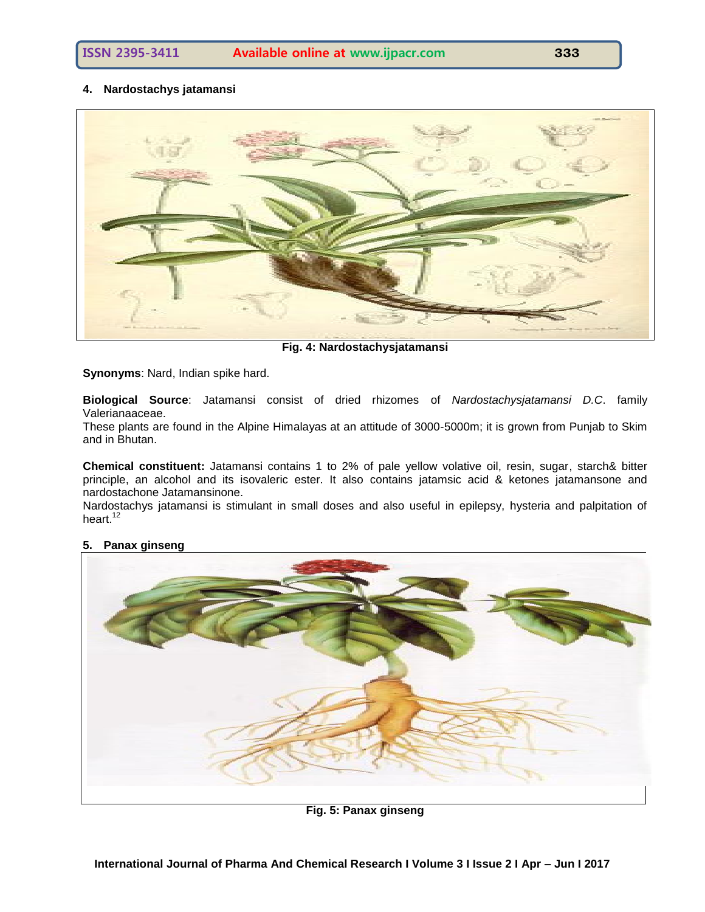**4. Nardostachys jatamansi**



**Fig. 4: Nardostachysjatamansi**

**Synonyms**: Nard, Indian spike hard.

**Biological Source**: Jatamansi consist of dried rhizomes of *Nardostachysjatamansi D.C*. family Valerianaaceae.

These plants are found in the Alpine Himalayas at an attitude of 3000-5000m; it is grown from Punjab to Skim and in Bhutan.

**Chemical constituent:** Jatamansi contains 1 to 2% of pale yellow volative oil, resin, sugar, starch& bitter principle, an alcohol and its isovaleric ester. It also contains jatamsic acid & ketones jatamansone and nardostachone Jatamansinone.

Nardostachys jatamansi is stimulant in small doses and also useful in epilepsy, hysteria and palpitation of heart. $12$ 



# **5. Panax ginseng**

**Fig. 5: Panax ginseng**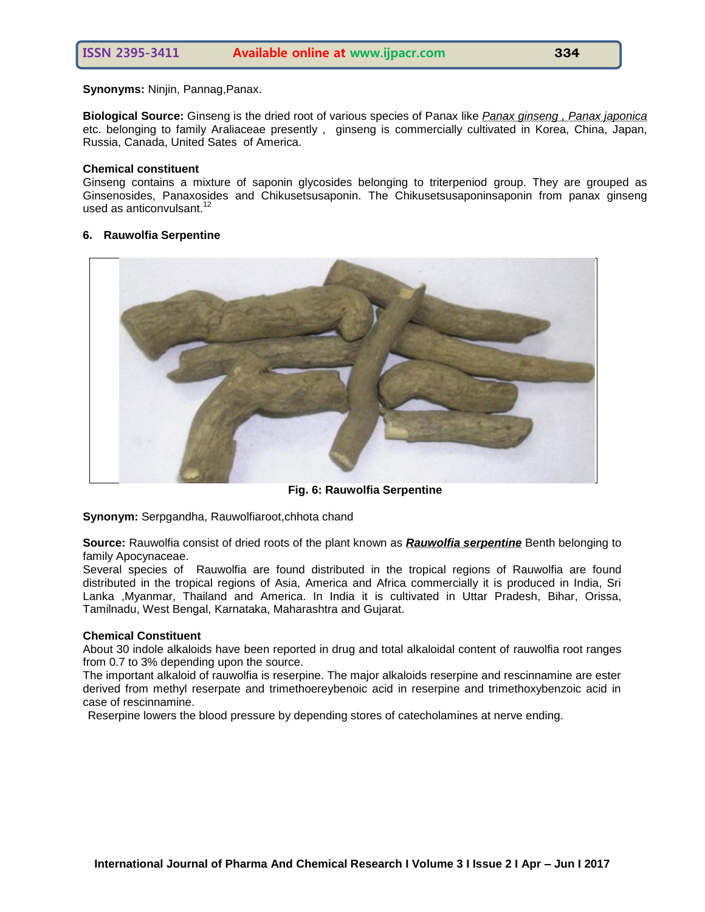**Synonyms:** Ninjin, Pannag,Panax.

**Biological Source:** Ginseng is the dried root of various species of Panax like *Panax ginseng , Panax japonica*  etc. belonging to family Araliaceae presently , ginseng is commercially cultivated in Korea, China, Japan, Russia, Canada, United Sates of America.

# **Chemical constituent**

Ginseng contains a mixture of saponin glycosides belonging to triterpeniod group. They are grouped as Ginsenosides, Panaxosides and Chikusetsusaponin. The Chikusetsusaponinsaponin from panax ginseng used as anticonvulsant.<sup>12</sup>

# **6. Rauwolfia Serpentine**



**Fig. 6: Rauwolfia Serpentine**

**Synonym:** Serpgandha, Rauwolfiaroot,chhota chand

**Source:** Rauwolfia consist of dried roots of the plant known as *Rauwolfia serpentine* Benth belonging to family Apocynaceae.

Several species of Rauwolfia are found distributed in the tropical regions of Rauwolfia are found distributed in the tropical regions of Asia, America and Africa commercially it is produced in India, Sri Lanka ,Myanmar, Thailand and America. In India it is cultivated in Uttar Pradesh, Bihar, Orissa, Tamilnadu, West Bengal, Karnataka, Maharashtra and Gujarat.

## **Chemical Constituent**

About 30 indole alkaloids have been reported in drug and total alkaloidal content of rauwolfia root ranges from 0.7 to 3% depending upon the source.

The important alkaloid of rauwolfia is reserpine. The major alkaloids reserpine and rescinnamine are ester derived from methyl reserpate and trimethoereybenoic acid in reserpine and trimethoxybenzoic acid in case of rescinnamine.

Reserpine lowers the blood pressure by depending stores of catecholamines at nerve ending.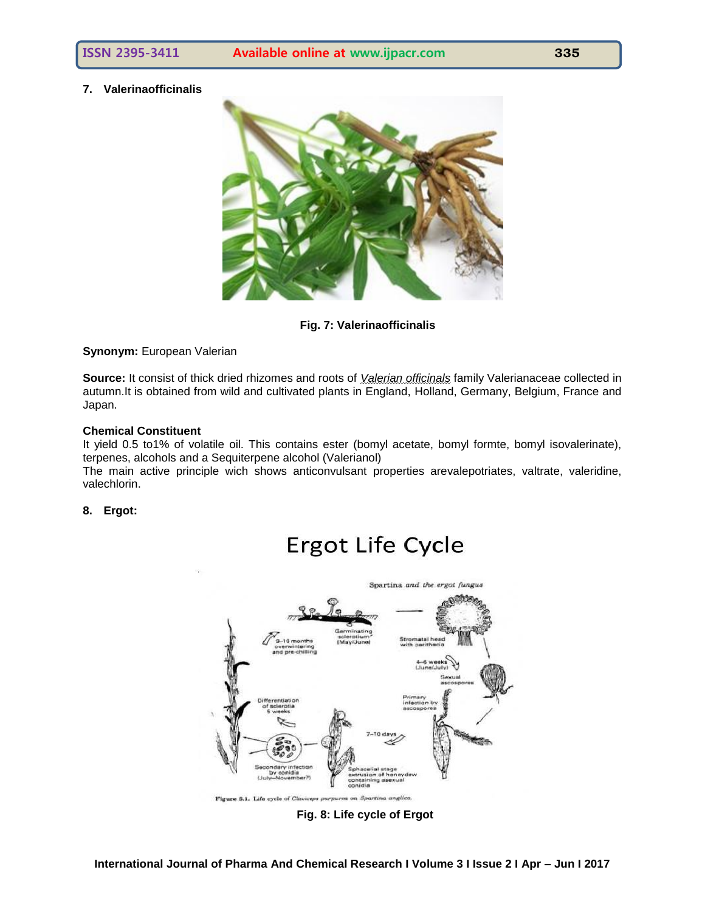# **7. Valerinaofficinalis**



**Fig. 7: Valerinaofficinalis**

**Synonym:** European Valerian

**Source:** It consist of thick dried rhizomes and roots of *Valerian officinals* family Valerianaceae collected in autumn.It is obtained from wild and cultivated plants in England, Holland, Germany, Belgium, France and Japan.

# **Chemical Constituent**

It yield 0.5 to1% of volatile oil. This contains ester (bomyl acetate, bomyl formte, bomyl isovalerinate), terpenes, alcohols and a Sequiterpene alcohol (Valerianol)

The main active principle wich shows anticonvulsant properties arevalepotriates, valtrate, valeridine, valechlorin.

# **8. Ergot:**

# **Ergot Life Cycle**



**Fig. 8: Life cycle of Ergot**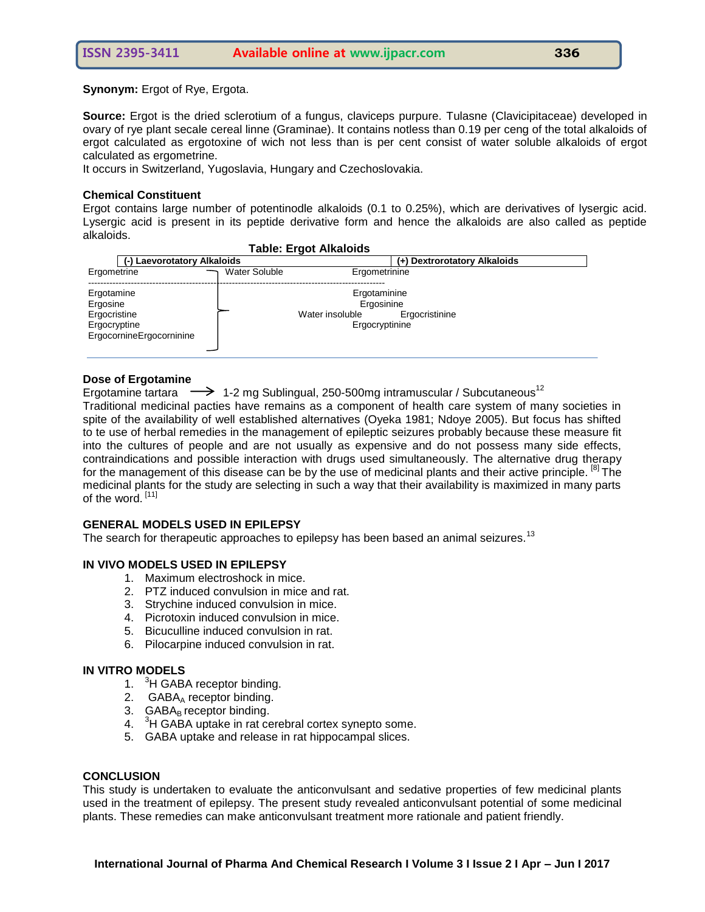**Synonym:** Ergot of Rye, Ergota.

**Source:** Ergot is the dried sclerotium of a fungus, claviceps purpure. Tulasne (Clavicipitaceae) developed in ovary of rye plant secale cereal linne (Graminae). It contains notless than 0.19 per ceng of the total alkaloids of ergot calculated as ergotoxine of wich not less than is per cent consist of water soluble alkaloids of ergot calculated as ergometrine.

It occurs in Switzerland, Yugoslavia, Hungary and Czechoslovakia.

# **Chemical Constituent**

Ergot contains large number of potentinodle alkaloids (0.1 to 0.25%), which are derivatives of lysergic acid. Lysergic acid is present in its peptide derivative form and hence the alkaloids are also called as peptide alkaloids.

| <b>Table: Ergot Alkaloids</b>                                                      |                      |                                                                 |                |  |  |
|------------------------------------------------------------------------------------|----------------------|-----------------------------------------------------------------|----------------|--|--|
| (-) Laevorotatory Alkaloids                                                        |                      | (+) Dextrorotatory Alkaloids                                    |                |  |  |
| Ergometrine                                                                        | <b>Water Soluble</b> | Ergometrinine                                                   |                |  |  |
| Ergotamine<br>Ergosine<br>Ergocristine<br>Ergocryptine<br>ErgocornineErgocorninine |                      | Ergotaminine<br>Ergosinine<br>Water insoluble<br>Ergocryptinine | Ergocristinine |  |  |

# **Dose of Ergotamine**

Ergotamine tartara  $\rightarrow$  1-2 mg Sublingual, 250-500mg intramuscular / Subcutaneous<sup>12</sup>

Traditional medicinal pacties have remains as a component of health care system of many societies in spite of the availability of well established alternatives (Oyeka 1981; Ndoye 2005). But focus has shifted to te use of herbal remedies in the management of epileptic seizures probably because these measure fit into the cultures of people and are not usually as expensive and do not possess many side effects, contraindications and possible interaction with drugs used simultaneously. The alternative drug therapy for the management of this disease can be by the use of medicinal plants and their active principle. <sup>[8]</sup> The medicinal plants for the study are selecting in such a way that their availability is maximized in many parts of the word.<sup>[11]</sup>

# **GENERAL MODELS USED IN EPILEPSY**

The search for therapeutic approaches to epilepsy has been based an animal seizures.<sup>13</sup>

# **IN VIVO MODELS USED IN EPILEPSY**

- 1. Maximum electroshock in mice.
- 2. PTZ induced convulsion in mice and rat.
- 3. Strychine induced convulsion in mice.
- 4. Picrotoxin induced convulsion in mice.
- 5. Bicuculline induced convulsion in rat.
- 6. Pilocarpine induced convulsion in rat.

# **IN VITRO MODELS**

- 1. <sup>3</sup>H GABA receptor binding.
- 2.  $GABA_A$  receptor binding.
- $3.$  GABA<sub>B</sub> receptor binding.
- 4. <sup>3</sup>H GABA uptake in rat cerebral cortex synepto some.
- 5. GABA uptake and release in rat hippocampal slices.

# **CONCLUSION**

This study is undertaken to evaluate the anticonvulsant and sedative properties of few medicinal plants used in the treatment of epilepsy. The present study revealed anticonvulsant potential of some medicinal plants. These remedies can make anticonvulsant treatment more rationale and patient friendly.